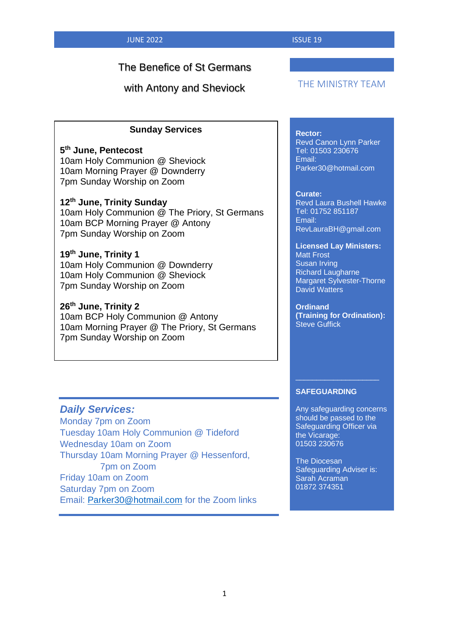# The Benefice of St Germans

with Antony and Sheviock

## THE MINISTRY TEAM

## **Sunday Services**

**5 th June, Pentecost** 10am Holy Communion @ Sheviock 10am Morning Prayer @ Downderry 7pm Sunday Worship on Zoom

### **12th June, Trinity Sunday**

10am Holy Communion @ The Priory, St Germans 10am BCP Morning Prayer @ Antony 7pm Sunday Worship on Zoom

# **19th June, Trinity 1** 10am Holy Communion @ Downderry

10am Holy Communion @ Sheviock 7pm Sunday Worship on Zoom

## **26th June, Trinity 2**

10am BCP Holy Communion @ Antony 10am Morning Prayer @ The Priory, St Germans 7pm Sunday Worship on Zoom

#### **Rector:**

Revd Canon Lynn Parker Tel: 01503 230676 Email: Parker30@hotmail.com

#### **Curate:**

Revd Laura Bushell Hawke Tel: 01752 851187 Email: RevLauraBH@gmail.com

#### **Licensed Lay Ministers:** Matt Frost Susan Irving Richard Laugharne Margaret Sylvester-Thorne David Watters

**Ordinand (Training for Ordination):** Steve Guffick

#### **SAFEGUARDING**

Any safeguarding concerns should be passed to the Safeguarding Officer via the Vicarage: 01503 230676

\_\_\_\_\_\_\_\_\_\_\_\_\_\_\_\_\_\_\_\_

The Diocesan Safeguarding Adviser is: Sarah Acraman 01872 374351

## *Daily Services:*

Monday 7pm on Zoom Tuesday 10am Holy Communion @ Tideford Wednesday 10am on Zoom Thursday 10am Morning Prayer @ Hessenford, 7pm on Zoom Friday 10am on Zoom Saturday 7pm on Zoom Email: [Parker30@hotmail.com](mailto:Parker30@hotmail.com) for the Zoom links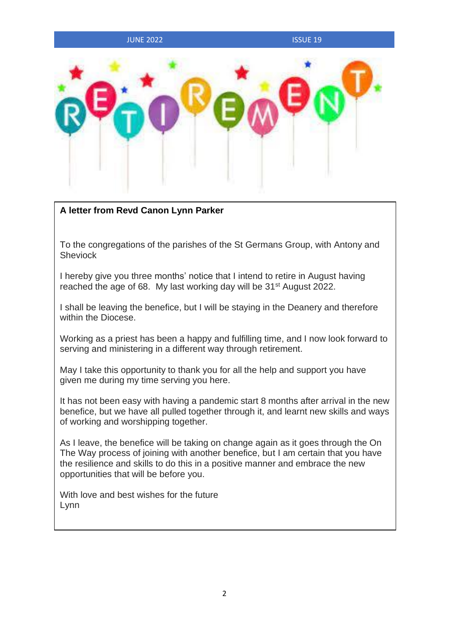#### **JUNE 2022 ISSUE 19**



## **A letter from Revd Canon Lynn Parker**

To the congregations of the parishes of the St Germans Group, with Antony and **Sheviock** 

I hereby give you three months' notice that I intend to retire in August having reached the age of 68. My last working day will be 31<sup>st</sup> August 2022.

I shall be leaving the benefice, but I will be staying in the Deanery and therefore within the Diocese.

Working as a priest has been a happy and fulfilling time, and I now look forward to serving and ministering in a different way through retirement.

May I take this opportunity to thank you for all the help and support you have given me during my time serving you here.

It has not been easy with having a pandemic start 8 months after arrival in the new benefice, but we have all pulled together through it, and learnt new skills and ways of working and worshipping together.

As I leave, the benefice will be taking on change again as it goes through the On The Way process of joining with another benefice, but I am certain that you have the resilience and skills to do this in a positive manner and embrace the new opportunities that will be before you.

With love and best wishes for the future Lynn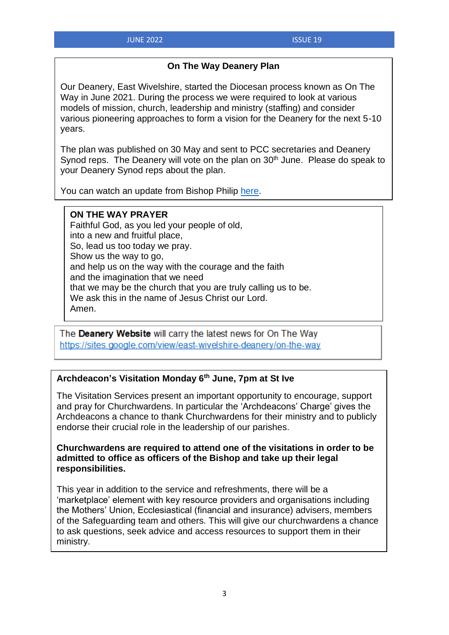## **On The Way Deanery Plan**

Our Deanery, East Wivelshire, started the Diocesan process known as On The Way in June 2021. During the process we were required to look at various models of mission, church, leadership and ministry (staffing) and consider various pioneering approaches to form a vision for the Deanery for the next 5-10 years.

The plan was published on 30 May and sent to PCC secretaries and Deanery Synod reps. The Deanery will vote on the plan on 30<sup>th</sup> June. Please do speak to your Deanery Synod reps about the plan.

You can watch an update from Bishop Philip [here.](https://youtu.be/6p-LCjhMOkg?list=PLdTWyyx0WS7qi8lC3GshREKlFFYACvyQ6)

## **ON THE WAY PRAYER**

Faithful God, as you led your people of old, into a new and fruitful place, So, lead us too today we pray. Show us the way to go, and help us on the way with the courage and the faith and the imagination that we need that we may be the church that you are truly calling us to be. We ask this in the name of Jesus Christ our Lord. Amen.

The Deanery Website will carry the latest news for On The Way https://sites.google.com/view/east-wivelshire-deanery/on-the-way

# **Archdeacon's Visitation Monday 6th June, 7pm at St Ive**

The Visitation Services present an important opportunity to encourage, support and pray for Churchwardens. In particular the 'Archdeacons' Charge' gives the Archdeacons a chance to thank Churchwardens for their ministry and to publicly endorse their crucial role in the leadership of our parishes.

## **Churchwardens are required to attend one of the visitations in order to be admitted to office as officers of the Bishop and take up their legal responsibilities.**

This year in addition to the service and refreshments, there will be a 'marketplace' element with key resource providers and organisations including the Mothers' Union, Ecclesiastical (financial and insurance) advisers, members of the Safeguarding team and others. This will give our churchwardens a chance to ask questions, seek advice and access resources to support them in their ministry.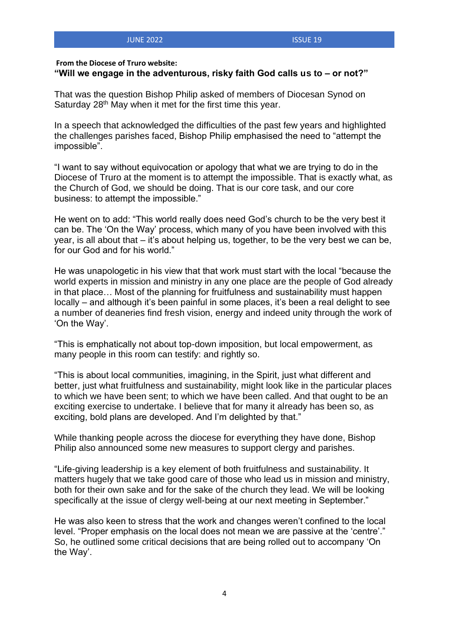#### **From the Diocese of Truro website:**

### **"Will we engage in the adventurous, risky faith God calls us to – or not?"**

That was the question Bishop Philip asked of members of Diocesan Synod on Saturday 28<sup>th</sup> May when it met for the first time this year.

In a speech that acknowledged the difficulties of the past few years and highlighted the challenges parishes faced, Bishop Philip emphasised the need to "attempt the impossible".

"I want to say without equivocation or apology that what we are trying to do in the Diocese of Truro at the moment is to attempt the impossible. That is exactly what, as the Church of God, we should be doing. That is our core task, and our core business: to attempt the impossible."

He went on to add: "This world really does need God's church to be the very best it can be. The 'On the Way' process, which many of you have been involved with this year, is all about that – it's about helping us, together, to be the very best we can be, for our God and for his world."

He was unapologetic in his view that that work must start with the local "because the world experts in mission and ministry in any one place are the people of God already in that place… Most of the planning for fruitfulness and sustainability must happen locally – and although it's been painful in some places, it's been a real delight to see a number of deaneries find fresh vision, energy and indeed unity through the work of 'On the Way'.

"This is emphatically not about top-down imposition, but local empowerment, as many people in this room can testify: and rightly so.

"This is about local communities, imagining, in the Spirit, just what different and better, just what fruitfulness and sustainability, might look like in the particular places to which we have been sent; to which we have been called. And that ought to be an exciting exercise to undertake. I believe that for many it already has been so, as exciting, bold plans are developed. And I'm delighted by that."

While thanking people across the diocese for everything they have done, Bishop Philip also announced some new measures to support clergy and parishes.

"Life-giving leadership is a key element of both fruitfulness and sustainability. It matters hugely that we take good care of those who lead us in mission and ministry, both for their own sake and for the sake of the church they lead. We will be looking specifically at the issue of clergy well-being at our next meeting in September."

He was also keen to stress that the work and changes weren't confined to the local level. "Proper emphasis on the local does not mean we are passive at the 'centre'." So, he outlined some critical decisions that are being rolled out to accompany 'On the Way'.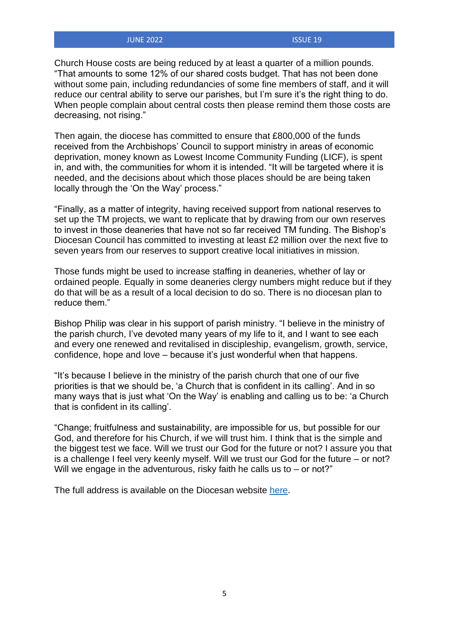#### **JUNE 2022 ISSUE 19**

Church House costs are being reduced by at least a quarter of a million pounds. "That amounts to some 12% of our shared costs budget. That has not been done without some pain, including redundancies of some fine members of staff, and it will reduce our central ability to serve our parishes, but I'm sure it's the right thing to do. When people complain about central costs then please remind them those costs are decreasing, not rising."

Then again, the diocese has committed to ensure that £800,000 of the funds received from the Archbishops' Council to support ministry in areas of economic deprivation, money known as Lowest Income Community Funding (LICF), is spent in, and with, the communities for whom it is intended. "It will be targeted where it is needed, and the decisions about which those places should be are being taken locally through the 'On the Way' process."

"Finally, as a matter of integrity, having received support from national reserves to set up the TM projects, we want to replicate that by drawing from our own reserves to invest in those deaneries that have not so far received TM funding. The Bishop's Diocesan Council has committed to investing at least £2 million over the next five to seven years from our reserves to support creative local initiatives in mission.

Those funds might be used to increase staffing in deaneries, whether of lay or ordained people. Equally in some deaneries clergy numbers might reduce but if they do that will be as a result of a local decision to do so. There is no diocesan plan to reduce them."

Bishop Philip was clear in his support of parish ministry. "I believe in the ministry of the parish church, I've devoted many years of my life to it, and I want to see each and every one renewed and revitalised in discipleship, evangelism, growth, service, confidence, hope and love – because it's just wonderful when that happens.

"It's because I believe in the ministry of the parish church that one of our five priorities is that we should be, 'a Church that is confident in its calling'. And in so many ways that is just what 'On the Way' is enabling and calling us to be: 'a Church that is confident in its calling'.

"Change; fruitfulness and sustainability, are impossible for us, but possible for our God, and therefore for his Church, if we will trust him. I think that is the simple and the biggest test we face. Will we trust our God for the future or not? I assure you that is a challenge I feel very keenly myself. Will we trust our God for the future – or not? Will we engage in the adventurous, risky faith he calls us to – or not?"

The full address is available on the Diocesan website [here.](https://trurodiocese.org.uk/wp-content/uploads/2022/05/Presidential-Address-May-2022-FINAL-VERSION.pdf)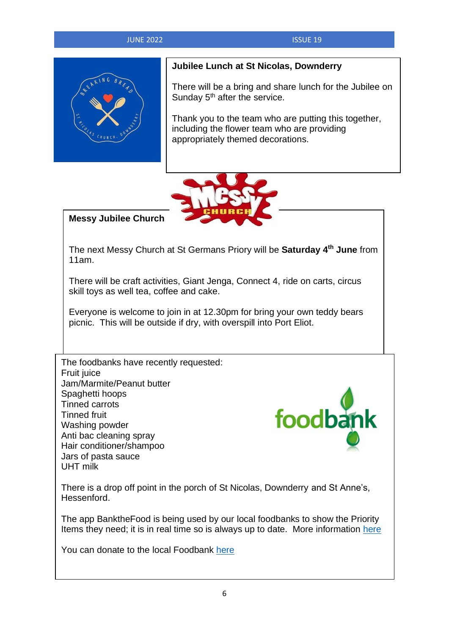## **JUNE 2022 ISSUE 19**



# **Jubilee Lunch at St Nicolas, Downderry**

There will be a bring and share lunch for the Jubilee on Sunday  $5<sup>th</sup>$  after the service.

Thank you to the team who are putting this together, including the flower team who are providing appropriately themed decorations.



# **Messy Jubilee Church**

The next Messy Church at St Germans Priory will be **Saturday 4 th June** from 11am.

There will be craft activities, Giant Jenga, Connect 4, ride on carts, circus skill toys as well tea, coffee and cake.

Everyone is welcome to join in at 12.30pm for bring your own teddy bears picnic. This will be outside if dry, with overspill into Port Eliot.

The foodbanks have recently requested: **Fruit juice** Jam/Marmite/Peanut butter Spaghetti hoops Tinned carrots Tinned fruit Washing powder Anti bac cleaning spray Hair conditioner/shampoo Jars of pasta sauce UHT milk



There is a drop off point in the porch of St Nicolas, Downderry and St Anne's, Hessenford.

The app BanktheFood is being used by our local foodbanks to show the Priority Items they need; it is in real time so is always up to date. More information [here](https://www.bankthefood.org/)

You can donate to the local Foodbank [here](https://www.stewardship.org.uk/partners/20144155)